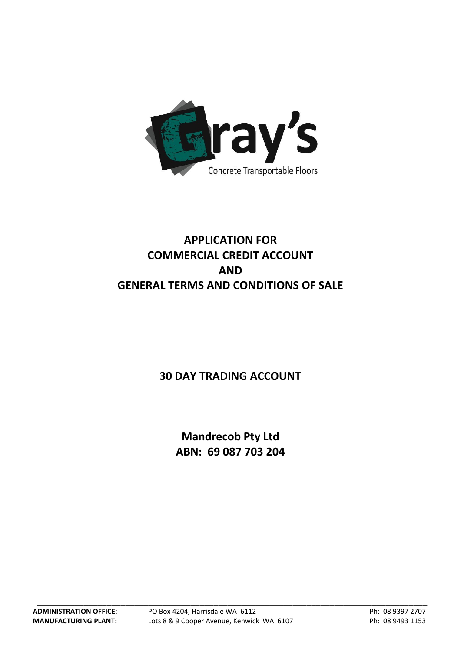

# **APPLICATION FOR COMMERCIAL CREDIT ACCOUNT AND GENERAL TERMS AND CONDITIONS OF SALE**

## **30 DAY TRADING ACCOUNT**

**Mandrecob Pty Ltd ABN: 69 087 703 204**

\_\_\_\_\_\_\_\_\_\_\_\_\_\_\_\_\_\_\_\_\_\_\_\_\_\_\_\_\_\_\_\_\_\_\_\_\_\_\_\_\_\_\_\_\_\_\_\_\_\_\_\_\_\_\_\_\_\_\_\_\_\_\_\_\_\_\_\_\_\_\_\_\_\_\_\_\_\_\_\_\_\_\_\_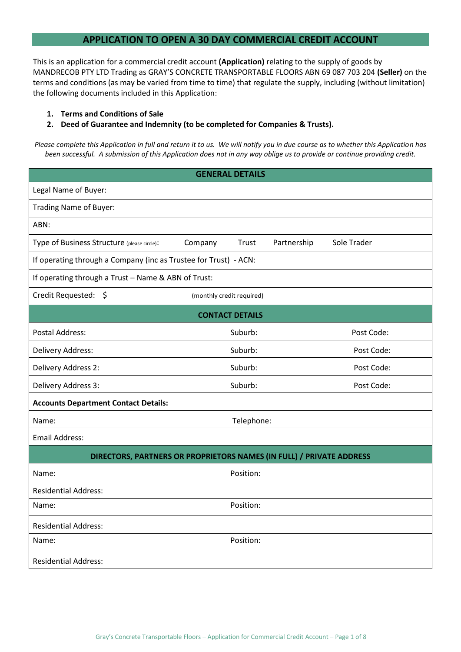### **APPLICATION TO OPEN A 30 DAY COMMERCIAL CREDIT ACCOUNT**

This is an application for a commercial credit account **(Application)** relating to the supply of goods by MANDRECOB PTY LTD Trading as GRAY'S CONCRETE TRANSPORTABLE FLOORS ABN 69 087 703 204 **(Seller)** on the terms and conditions (as may be varied from time to time) that regulate the supply, including (without limitation) the following documents included in this Application:

### **1. Terms and Conditions of Sale**

### **2. Deed of Guarantee and Indemnity (to be completed for Companies & Trusts).**

*Please complete this Application in full and return it to us. We will notify you in due course as to whether this Application has been successful. A submission of this Application does not in any way oblige us to provide or continue providing credit.*

| <b>GENERAL DETAILS</b>                                               |                           |             |             |  |  |
|----------------------------------------------------------------------|---------------------------|-------------|-------------|--|--|
| Legal Name of Buyer:                                                 |                           |             |             |  |  |
| Trading Name of Buyer:                                               |                           |             |             |  |  |
| ABN:                                                                 |                           |             |             |  |  |
| Type of Business Structure (please circle):                          | Company<br>Trust          | Partnership | Sole Trader |  |  |
| If operating through a Company (inc as Trustee for Trust) - ACN:     |                           |             |             |  |  |
| If operating through a Trust - Name & ABN of Trust:                  |                           |             |             |  |  |
| Credit Requested: \$                                                 | (monthly credit required) |             |             |  |  |
| <b>CONTACT DETAILS</b>                                               |                           |             |             |  |  |
| <b>Postal Address:</b>                                               | Suburb:                   |             | Post Code:  |  |  |
| Delivery Address:                                                    | Suburb:                   |             | Post Code:  |  |  |
| Delivery Address 2:                                                  | Suburb:                   |             | Post Code:  |  |  |
| Delivery Address 3:                                                  | Suburb:                   |             | Post Code:  |  |  |
| <b>Accounts Department Contact Details:</b>                          |                           |             |             |  |  |
| Name:                                                                | Telephone:                |             |             |  |  |
| <b>Email Address:</b>                                                |                           |             |             |  |  |
| DIRECTORS, PARTNERS OR PROPRIETORS NAMES (IN FULL) / PRIVATE ADDRESS |                           |             |             |  |  |
| Name:                                                                | Position:                 |             |             |  |  |
| <b>Residential Address:</b>                                          |                           |             |             |  |  |
| Name:                                                                | Position:                 |             |             |  |  |
| <b>Residential Address:</b>                                          |                           |             |             |  |  |
| Name:                                                                | Position:                 |             |             |  |  |
| <b>Residential Address:</b>                                          |                           |             |             |  |  |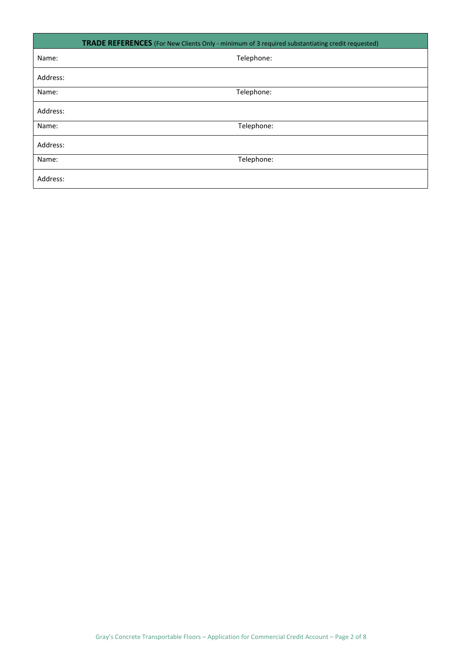| <b>TRADE REFERENCES</b> (For New Clients Only - minimum of 3 required substantiating credit requested) |            |  |  |
|--------------------------------------------------------------------------------------------------------|------------|--|--|
| Name:                                                                                                  | Telephone: |  |  |
| Address:                                                                                               |            |  |  |
| Name:                                                                                                  | Telephone: |  |  |
| Address:                                                                                               |            |  |  |
| Name:                                                                                                  | Telephone: |  |  |
| Address:                                                                                               |            |  |  |
| Name:                                                                                                  | Telephone: |  |  |
| Address:                                                                                               |            |  |  |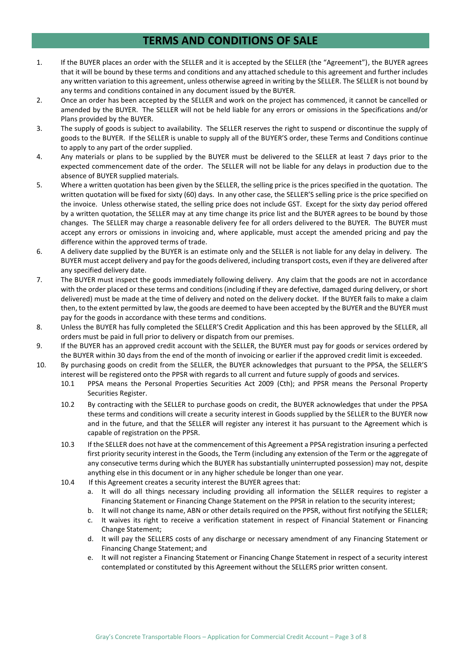### **TERMS AND CONDITIONS OF SALE**

- 1. If the BUYER places an order with the SELLER and it is accepted by the SELLER (the "Agreement"), the BUYER agrees that it will be bound by these terms and conditions and any attached schedule to this agreement and further includes any written variation to this agreement, unless otherwise agreed in writing by the SELLER. The SELLER is not bound by any terms and conditions contained in any document issued by the BUYER.
- 2. Once an order has been accepted by the SELLER and work on the project has commenced, it cannot be cancelled or amended by the BUYER. The SELLER will not be held liable for any errors or omissions in the Specifications and/or Plans provided by the BUYER.
- 3. The supply of goods is subject to availability. The SELLER reserves the right to suspend or discontinue the supply of goods to the BUYER. If the SELLER is unable to supply all of the BUYER'S order, these Terms and Conditions continue to apply to any part of the order supplied.
- 4. Any materials or plans to be supplied by the BUYER must be delivered to the SELLER at least 7 days prior to the expected commencement date of the order. The SELLER will not be liable for any delays in production due to the absence of BUYER supplied materials.
- 5. Where a written quotation has been given by the SELLER, the selling price is the prices specified in the quotation. The written quotation will be fixed for sixty (60) days. In any other case, the SELLER'S selling price is the price specified on the invoice. Unless otherwise stated, the selling price does not include GST. Except for the sixty day period offered by a written quotation, the SELLER may at any time change its price list and the BUYER agrees to be bound by those changes. The SELLER may charge a reasonable delivery fee for all orders delivered to the BUYER. The BUYER must accept any errors or omissions in invoicing and, where applicable, must accept the amended pricing and pay the difference within the approved terms of trade.
- 6. A delivery date supplied by the BUYER is an estimate only and the SELLER is not liable for any delay in delivery. The BUYER must accept delivery and pay for the goods delivered, including transport costs, even if they are delivered after any specified delivery date.
- 7. The BUYER must inspect the goods immediately following delivery. Any claim that the goods are not in accordance with the order placed or these terms and conditions (including if they are defective, damaged during delivery, or short delivered) must be made at the time of delivery and noted on the delivery docket. If the BUYER fails to make a claim then, to the extent permitted by law, the goods are deemed to have been accepted by the BUYER and the BUYER must pay for the goods in accordance with these terms and conditions.
- 8. Unless the BUYER has fully completed the SELLER'S Credit Application and this has been approved by the SELLER, all orders must be paid in full prior to delivery or dispatch from our premises.
- 9. If the BUYER has an approved credit account with the SELLER, the BUYER must pay for goods or services ordered by the BUYER within 30 days from the end of the month of invoicing or earlier if the approved credit limit is exceeded.
- 10. By purchasing goods on credit from the SELLER, the BUYER acknowledges that pursuant to the PPSA, the SELLER'S interest will be registered onto the PPSR with regards to all current and future supply of goods and services.
	- 10.1 PPSA means the Personal Properties Securities Act 2009 (Cth); and PPSR means the Personal Property Securities Register.
	- 10.2 By contracting with the SELLER to purchase goods on credit, the BUYER acknowledges that under the PPSA these terms and conditions will create a security interest in Goods supplied by the SELLER to the BUYER now and in the future, and that the SELLER will register any interest it has pursuant to the Agreement which is capable of registration on the PPSR.
	- 10.3 If the SELLER does not have at the commencement of this Agreement a PPSA registration insuring a perfected first priority security interest in the Goods, the Term (including any extension of the Term or the aggregate of any consecutive terms during which the BUYER has substantially uninterrupted possession) may not, despite anything else in this document or in any higher schedule be longer than one year.
	- 10.4 If this Agreement creates a security interest the BUYER agrees that:
		- a. It will do all things necessary including providing all information the SELLER requires to register a Financing Statement or Financing Change Statement on the PPSR in relation to the security interest;
		- b. It will not change its name, ABN or other details required on the PPSR, without first notifying the SELLER;
		- c. It waives its right to receive a verification statement in respect of Financial Statement or Financing Change Statement;
		- d. It will pay the SELLERS costs of any discharge or necessary amendment of any Financing Statement or Financing Change Statement; and
		- e. It will not register a Financing Statement or Financing Change Statement in respect of a security interest contemplated or constituted by this Agreement without the SELLERS prior written consent.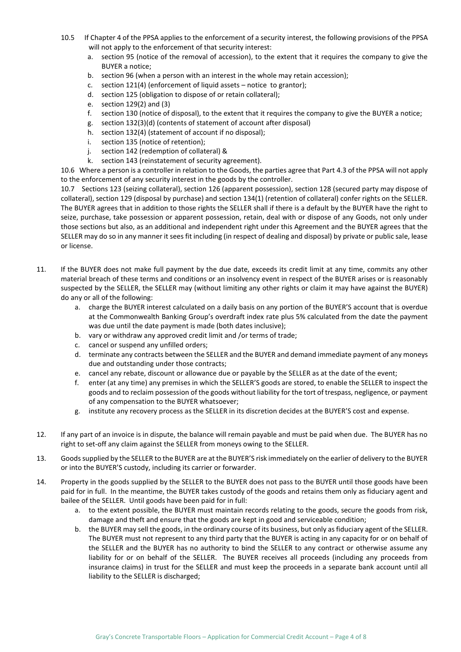- 10.5 If Chapter 4 of the PPSA applies to the enforcement of a security interest, the following provisions of the PPSA will not apply to the enforcement of that security interest:
	- a. section 95 (notice of the removal of accession), to the extent that it requires the company to give the BUYER a notice;
	- b. section 96 (when a person with an interest in the whole may retain accession);
	- c. section 121(4) (enforcement of liquid assets notice to grantor);
	- d. section 125 (obligation to dispose of or retain collateral);
	- e. section 129(2) and (3)
	- f. section 130 (notice of disposal), to the extent that it requires the company to give the BUYER a notice;
	- g. section 132(3)(d) (contents of statement of account after disposal)
	- h. section 132(4) (statement of account if no disposal);
	- i. section 135 (notice of retention);
	- j. section 142 (redemption of collateral) &
	- k. section 143 (reinstatement of security agreement).

10.6 Where a person is a controller in relation to the Goods, the parties agree that Part 4.3 of the PPSA will not apply to the enforcement of any security interest in the goods by the controller.

10.7 Sections 123 (seizing collateral), section 126 (apparent possession), section 128 (secured party may dispose of collateral), section 129 (disposal by purchase) and section 134(1) (retention of collateral) confer rights on the SELLER. The BUYER agrees that in addition to those rights the SELLER shall if there is a default by the BUYER have the right to seize, purchase, take possession or apparent possession, retain, deal with or dispose of any Goods, not only under those sections but also, as an additional and independent right under this Agreement and the BUYER agrees that the SELLER may do so in any manner it sees fit including (in respect of dealing and disposal) by private or public sale, lease or license.

- 11. If the BUYER does not make full payment by the due date, exceeds its credit limit at any time, commits any other material breach of these terms and conditions or an insolvency event in respect of the BUYER arises or is reasonably suspected by the SELLER, the SELLER may (without limiting any other rights or claim it may have against the BUYER) do any or all of the following:
	- a. charge the BUYER interest calculated on a daily basis on any portion of the BUYER'S account that is overdue at the Commonwealth Banking Group's overdraft index rate plus 5% calculated from the date the payment was due until the date payment is made (both dates inclusive);
	- b. vary or withdraw any approved credit limit and /or terms of trade;
	- c. cancel or suspend any unfilled orders;
	- d. terminate any contracts between the SELLER and the BUYER and demand immediate payment of any moneys due and outstanding under those contracts;
	- e. cancel any rebate, discount or allowance due or payable by the SELLER as at the date of the event;
	- f. enter (at any time) any premises in which the SELLER'S goods are stored, to enable the SELLER to inspect the goods and to reclaim possession of the goods without liability for the tort of trespass, negligence, or payment of any compensation to the BUYER whatsoever;
	- g. institute any recovery process as the SELLER in its discretion decides at the BUYER'S cost and expense.
- 12. If any part of an invoice is in dispute, the balance will remain payable and must be paid when due. The BUYER has no right to set-off any claim against the SELLER from moneys owing to the SELLER.
- 13. Goods supplied by the SELLER to the BUYER are at the BUYER'S risk immediately on the earlier of delivery to the BUYER or into the BUYER'S custody, including its carrier or forwarder.
- 14. Property in the goods supplied by the SELLER to the BUYER does not pass to the BUYER until those goods have been paid for in full. In the meantime, the BUYER takes custody of the goods and retains them only as fiduciary agent and bailee of the SELLER. Until goods have been paid for in full:
	- a. to the extent possible, the BUYER must maintain records relating to the goods, secure the goods from risk, damage and theft and ensure that the goods are kept in good and serviceable condition;
	- b. the BUYER may sell the goods, in the ordinary course of its business, but only as fiduciary agent of the SELLER. The BUYER must not represent to any third party that the BUYER is acting in any capacity for or on behalf of the SELLER and the BUYER has no authority to bind the SELLER to any contract or otherwise assume any liability for or on behalf of the SELLER. The BUYER receives all proceeds (including any proceeds from insurance claims) in trust for the SELLER and must keep the proceeds in a separate bank account until all liability to the SELLER is discharged;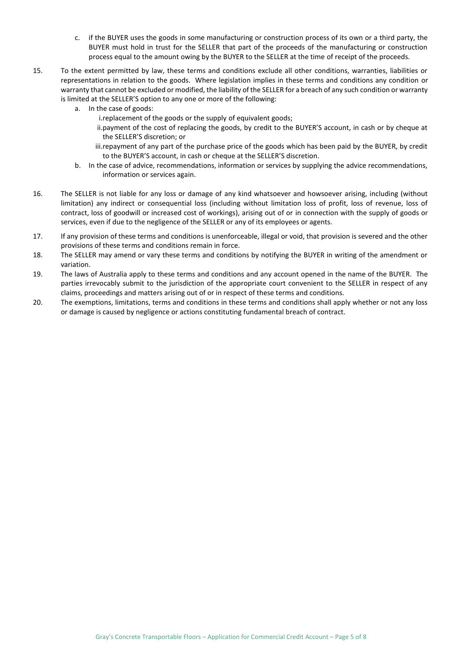- c. if the BUYER uses the goods in some manufacturing or construction process of its own or a third party, the BUYER must hold in trust for the SELLER that part of the proceeds of the manufacturing or construction process equal to the amount owing by the BUYER to the SELLER at the time of receipt of the proceeds.
- 15. To the extent permitted by law, these terms and conditions exclude all other conditions, warranties, liabilities or representations in relation to the goods. Where legislation implies in these terms and conditions any condition or warranty that cannot be excluded or modified, the liability of the SELLER for a breach of any such condition or warranty is limited at the SELLER'S option to any one or more of the following:
	- a. In the case of goods:
		- i.replacement of the goods or the supply of equivalent goods;
		- ii.payment of the cost of replacing the goods, by credit to the BUYER'S account, in cash or by cheque at the SELLER'S discretion; or
		- iii.repayment of any part of the purchase price of the goods which has been paid by the BUYER, by credit to the BUYER'S account, in cash or cheque at the SELLER'S discretion.
	- b. In the case of advice, recommendations, information or services by supplying the advice recommendations, information or services again.
- 16. The SELLER is not liable for any loss or damage of any kind whatsoever and howsoever arising, including (without limitation) any indirect or consequential loss (including without limitation loss of profit, loss of revenue, loss of contract, loss of goodwill or increased cost of workings), arising out of or in connection with the supply of goods or services, even if due to the negligence of the SELLER or any of its employees or agents.
- 17. If any provision of these terms and conditions is unenforceable, illegal or void, that provision is severed and the other provisions of these terms and conditions remain in force.
- 18. The SELLER may amend or vary these terms and conditions by notifying the BUYER in writing of the amendment or variation.
- 19. The laws of Australia apply to these terms and conditions and any account opened in the name of the BUYER. The parties irrevocably submit to the jurisdiction of the appropriate court convenient to the SELLER in respect of any claims, proceedings and matters arising out of or in respect of these terms and conditions.
- 20. The exemptions, limitations, terms and conditions in these terms and conditions shall apply whether or not any loss or damage is caused by negligence or actions constituting fundamental breach of contract.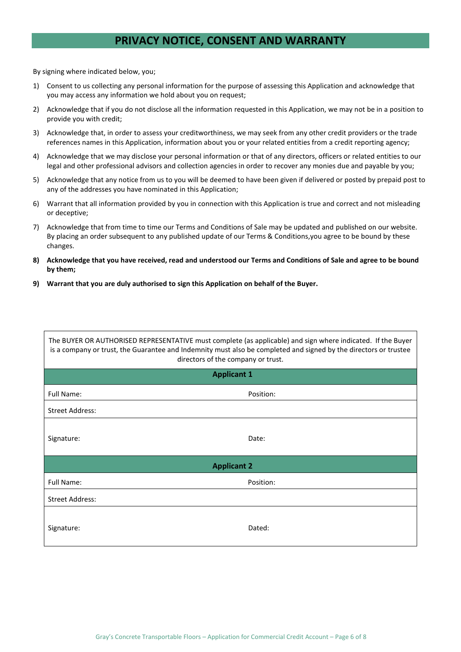### **PRIVACY NOTICE, CONSENT AND WARRANTY**

By signing where indicated below, you;

- 1) Consent to us collecting any personal information for the purpose of assessing this Application and acknowledge that you may access any information we hold about you on request;
- 2) Acknowledge that if you do not disclose all the information requested in this Application, we may not be in a position to provide you with credit;
- 3) Acknowledge that, in order to assess your creditworthiness, we may seek from any other credit providers or the trade references names in this Application, information about you or your related entities from a credit reporting agency;
- 4) Acknowledge that we may disclose your personal information or that of any directors, officers or related entities to our legal and other professional advisors and collection agencies in order to recover any monies due and payable by you;
- 5) Acknowledge that any notice from us to you will be deemed to have been given if delivered or posted by prepaid post to any of the addresses you have nominated in this Application;
- 6) Warrant that all information provided by you in connection with this Application is true and correct and not misleading or deceptive;
- 7) Acknowledge that from time to time our Terms and Conditions of Sale may be updated and published on our website. By placing an order subsequent to any published update of our Terms & Conditions,you agree to be bound by these changes.
- **8) Acknowledge that you have received, read and understood our Terms and Conditions of Sale and agree to be bound by them;**
- **9) Warrant that you are duly authorised to sign this Application on behalf of the Buyer.**

| The BUYER OR AUTHORISED REPRESENTATIVE must complete (as applicable) and sign where indicated. If the Buyer<br>is a company or trust, the Guarantee and Indemnity must also be completed and signed by the directors or trustee<br>directors of the company or trust. |           |  |  |  |
|-----------------------------------------------------------------------------------------------------------------------------------------------------------------------------------------------------------------------------------------------------------------------|-----------|--|--|--|
| <b>Applicant 1</b>                                                                                                                                                                                                                                                    |           |  |  |  |
| Full Name:                                                                                                                                                                                                                                                            | Position: |  |  |  |
| <b>Street Address:</b>                                                                                                                                                                                                                                                |           |  |  |  |
| Signature:                                                                                                                                                                                                                                                            | Date:     |  |  |  |
| <b>Applicant 2</b>                                                                                                                                                                                                                                                    |           |  |  |  |
| <b>Full Name:</b>                                                                                                                                                                                                                                                     | Position: |  |  |  |
| <b>Street Address:</b>                                                                                                                                                                                                                                                |           |  |  |  |
| Signature:                                                                                                                                                                                                                                                            | Dated:    |  |  |  |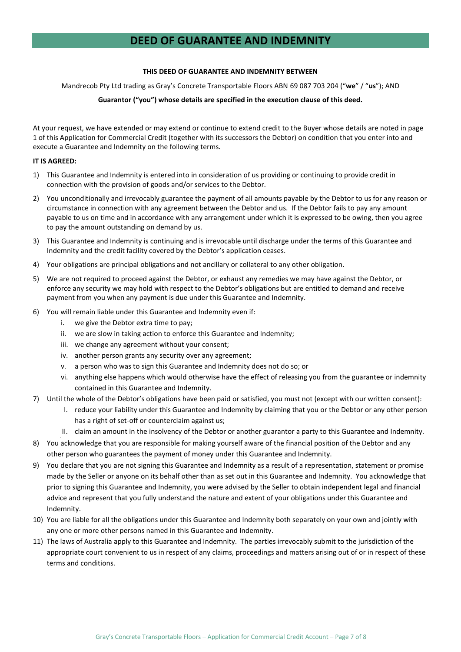## **DEED OF GUARANTEE AND INDEMNITY**

#### **THIS DEED OF GUARANTEE AND INDEMNITY BETWEEN**

Mandrecob Pty Ltd trading as Gray's Concrete Transportable Floors ABN 69 087 703 204 ("**we**" / "**us**"); AND

### **Guarantor ("you") whose details are specified in the execution clause of this deed.**

At your request, we have extended or may extend or continue to extend credit to the Buyer whose details are noted in page 1 of this Application for Commercial Credit (together with its successors the Debtor) on condition that you enter into and execute a Guarantee and Indemnity on the following terms.

#### **IT IS AGREED:**

- 1) This Guarantee and Indemnity is entered into in consideration of us providing or continuing to provide credit in connection with the provision of goods and/or services to the Debtor.
- 2) You unconditionally and irrevocably guarantee the payment of all amounts payable by the Debtor to us for any reason or circumstance in connection with any agreement between the Debtor and us. If the Debtor fails to pay any amount payable to us on time and in accordance with any arrangement under which it is expressed to be owing, then you agree to pay the amount outstanding on demand by us.
- 3) This Guarantee and Indemnity is continuing and is irrevocable until discharge under the terms of this Guarantee and Indemnity and the credit facility covered by the Debtor's application ceases.
- 4) Your obligations are principal obligations and not ancillary or collateral to any other obligation.
- 5) We are not required to proceed against the Debtor, or exhaust any remedies we may have against the Debtor, or enforce any security we may hold with respect to the Debtor's obligations but are entitled to demand and receive payment from you when any payment is due under this Guarantee and Indemnity.
- 6) You will remain liable under this Guarantee and Indemnity even if:
	- i. we give the Debtor extra time to pay;
	- ii. we are slow in taking action to enforce this Guarantee and Indemnity;
	- iii. we change any agreement without your consent;
	- iv. another person grants any security over any agreement;
	- v. a person who was to sign this Guarantee and Indemnity does not do so; or
	- vi. anything else happens which would otherwise have the effect of releasing you from the guarantee or indemnity contained in this Guarantee and Indemnity.
- 7) Until the whole of the Debtor's obligations have been paid or satisfied, you must not (except with our written consent):
	- I. reduce your liability under this Guarantee and Indemnity by claiming that you or the Debtor or any other person has a right of set-off or counterclaim against us;
	- II. claim an amount in the insolvency of the Debtor or another guarantor a party to this Guarantee and Indemnity.
- 8) You acknowledge that you are responsible for making yourself aware of the financial position of the Debtor and any other person who guarantees the payment of money under this Guarantee and Indemnity.
- 9) You declare that you are not signing this Guarantee and Indemnity as a result of a representation, statement or promise made by the Seller or anyone on its behalf other than as set out in this Guarantee and Indemnity. You acknowledge that prior to signing this Guarantee and Indemnity, you were advised by the Seller to obtain independent legal and financial advice and represent that you fully understand the nature and extent of your obligations under this Guarantee and Indemnity.
- 10) You are liable for all the obligations under this Guarantee and Indemnity both separately on your own and jointly with any one or more other persons named in this Guarantee and Indemnity.
- 11) The laws of Australia apply to this Guarantee and Indemnity. The parties irrevocably submit to the jurisdiction of the appropriate court convenient to us in respect of any claims, proceedings and matters arising out of or in respect of these terms and conditions.